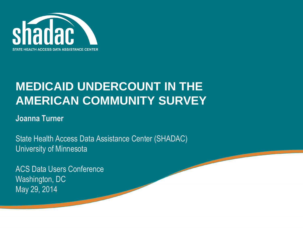

#### **MEDICAID UNDERCOUNT IN THE AMERICAN COMMUNITY SURVEY**

#### **Joanna Turner**

State Health Access Data Assistance Center (SHADAC) University of Minnesota

ACS Data Users Conference Washington, DC May 29, 2014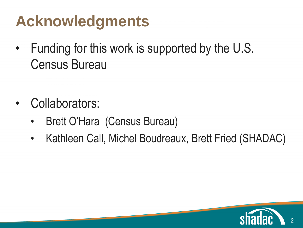# Acknowledgments

- Funding for this work is supported by the U.S. Census Bureau
- Fourth level • Collaborators:
	- Brett O'Hara (Census Bureau)
	- Kathleen Call, Michel Boudreaux, Brett Fried (SHADAC)

2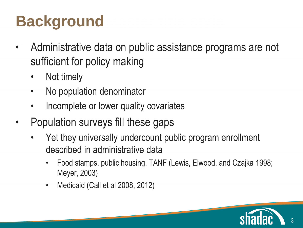# **COLIGER STACKGROUNDEN STACKGROUNDEN STACKGROUNDEN STACKGROUNDEN STACKGROUNDEN STACKGROUNDEN STACKGROUNDEN STACKGROUNDEN STACKGROUNDEN STACKGROUNDEN STACKGROUNDEN STACKGROUNDEN**

- Administrative data on public assistance programs are not Sunicient for sufficient for policy making
	- INUL LIITIEIY • Not timely
	- No population denominator
	- Incomplete or lower quality covariates
- Population surveys fill these gaps
	- Yet they universally undercount public program enrollment described in administrative data
		- Food stamps, public housing, TANF (Lewis, Elwood, and Czajka 1998; Meyer, 2003)
		- Medicaid (Call et al 2008, 2012)

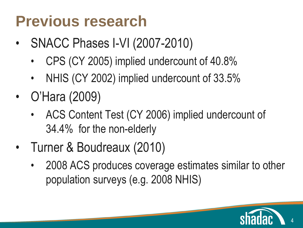# **Previous research**

- SINAUU PHASES I-VI (2007) • SNACC Phases I-VI (2007-2010)
	- $\cdot$  CPS (CT) • CPS (CY 2005) implied undercount of 40.8%
	- NHIS (CY 2002) implied undercount of 33.5%
- O'Hara (2009)
	- $\frac{f}{\sqrt{2}}$ • ACS Content Test (CY 2006) implied undercount of 34.4% for the non-elderly
- Turner & Boudreaux (2010)
	- 2008 ACS produces coverage estimates similar to other population surveys (e.g. 2008 NHIS)

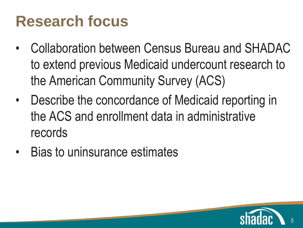# **Research focus**

- Collaboration between Census Bureau and SHADAC to extend previous Medicaid undercount research to the American Community Survey (ACS)
- $h \circ f h \circ f$ File oc • Describe the concordance of Medicaid reporting in the ACS and enrollment data in administrative records

5

• Bias to uninsurance estimates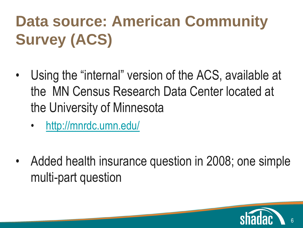#### **Data source: American Community** Curvey (ACC) **Survey (ACS)**

- $\overline{\mathbf{S}}$  set  $\overline{\mathbf{S}}$  and  $\overline{\mathbf{S}}$  $\frac{1}{2}$ the MN Census Research Data Center located at the University of Minnesota • Using the "internal" version of the ACS, available at
	- <http://mnrdc.umn.edu/>
- Added health insurance question in 2008; one simple multi-part question

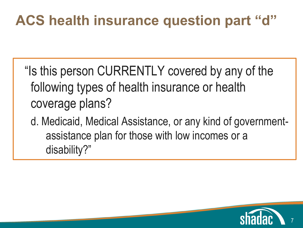### ACS health insurance question part "d"

section the narge  $\sim$  $\cdot$ g $\cdot$ ypo coverage plans? "Is this person CURRENTLY covered by any of the following types of health insurance or health

d. Medicaid, Medical Assistance, or any kind of governmentassistance plan for those with low incomes or a disability?"

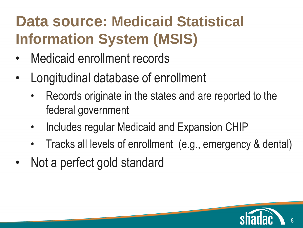#### **Data source: Medicaid Statistical** Click to the Click to the Master text styles in the Click to the Click the Click to the Click the Click to the<br>The Click to the Click the Click to the Click to the Click to the Click the Click to the Click the Click to th **Information System (MSIS)**

- INCOIOCIO CI • Medicaid enrollment records
- Longitudinal database of enrollment
	- Records originate in the states and are reported to the federal government
	- Includes regular Medicaid and Expansion CHIP
	- Tracks all levels of enrollment (e.g., emergency & dental)

8

Not a perfect gold standard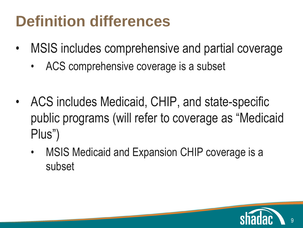# **Definition differences**

- MSIS includes comprehensive and partial coverage
	- ACS comprehensive coverage is a subset
- $\mathbf{F}$  is the level of  $\mathbf{F}$ • ACS includes Medicaid, CHIP, and state-specific public programs (will refer to coverage as "Medicaid Plus")
	- MSIS Medicaid and Expansion CHIP coverage is a subset

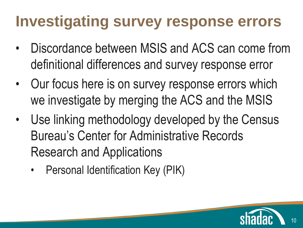## **Investigating survey response errors**

- Discordance between MSIS and ACS can come from definitional differences and survey response error
- Our focus here is on survey response errors which  $\sim$ igutu l we investigate by merging the ACS and the MSIS
- Use linking methodology developed by the Census Bureau's Center for Administrative Records Research and Applications
	- Personal Identification Key (PIK)

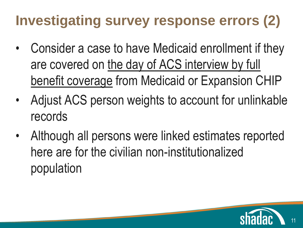### **Investigating survey response errors (2)**

- Consider a case to have Medicaid enrollment if they are covered on the day of ACS interview by full benefit coverage from Medicaid or Expansion CHIP
- $ACF<sub>n</sub>$ io poi • Adjust ACS person weights to account for unlinkable records
- Although all persons were linked estimates reported here are for the civilian non-institutionalized population

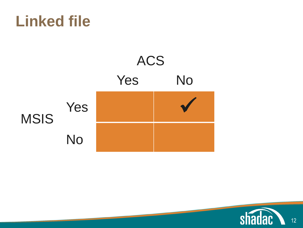### **Linked file**



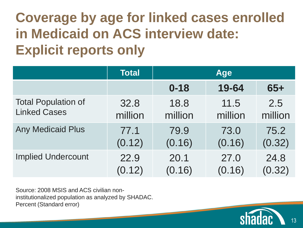#### **Coverage by age for linked cases enrolled Explicit reports only in Medicaid on ACS interview date:**

|                            | <b>Total</b> | <b>Age</b> |         |         |
|----------------------------|--------------|------------|---------|---------|
|                            |              | $0 - 18$   | 19-64   | $65+$   |
| <b>Total Population of</b> | 32.8         | 18.8       | 11.5    | 2.5     |
| <b>Linked Cases</b>        | million      | million    | million | million |
| <b>Any Medicaid Plus</b>   | 77.1         | 79.9       | 73.0    | 75.2    |
|                            | (0.12)       | (0.16)     | (0.16)  | (0.32)  |
| <b>Implied Undercount</b>  | 22.9         | 20.1       | 27.0    | 24.8    |
|                            | (0.12)       | (0.16)     | (0.16)  | (0.32)  |

Source: 2008 MSIS and ACS civilian noninstitutionalized population as analyzed by SHADAC. Percent (Standard error)

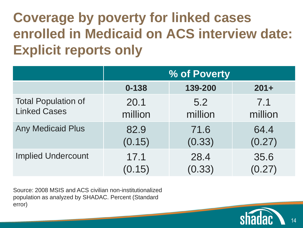#### **Coverage by poverty for linked cases Explicit reports only enrolled in Medicaid on ACS interview date:**

|                            | % of Poverty |         |         |  |
|----------------------------|--------------|---------|---------|--|
|                            | $0 - 138$    | 139-200 | $201 +$ |  |
| <b>Total Population of</b> | 20.1         | 5.2     | 7.1     |  |
| <b>Linked Cases</b>        | million      | million | million |  |
| <b>Any Medicaid Plus</b>   | 82.9         | 71.6    | 64.4    |  |
|                            | (0.15)       | (0.33)  | (0.27)  |  |
| <b>Implied Undercount</b>  | 17.1         | 28.4    | 35.6    |  |
|                            | (0.15)       | (0.33)  | (0.27)  |  |

Source: 2008 MSIS and ACS civilian non-institutionalized population as analyzed by SHADAC. Percent (Standard error)

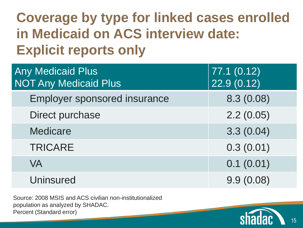### **Coverage by type for linked cases enrolled Explicit reports only in Medicaid on ACS interview date:**

| <b>Any Medicaid Plus</b><br><b>NOT Any Medicaid Plus</b> | 77.1(0.12)<br>22.9(0.12) |
|----------------------------------------------------------|--------------------------|
| <b>Employer sponsored insurance</b>                      | 8.3(0.08)                |
| Direct purchase                                          | 2.2(0.05)                |
| <b>Medicare</b>                                          | 3.3(0.04)                |
| <b>TRICARE</b>                                           | 0.3(0.01)                |
| <b>VA</b>                                                | 0.1(0.01)                |
| <b>Uninsured</b>                                         | 9.9(0.08)                |

Source: 2008 MSIS and ACS civilian non-institutionalized population as analyzed by SHADAC. Percent (Standard error)

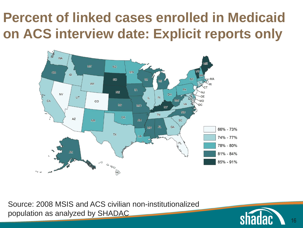#### **Percent of linked cases enrolled in Medicaid on ACS interview date: Explicit reports only**



Source: 2008 MSIS and ACS civilian non-institutionalized population as analyzed by SHADAC

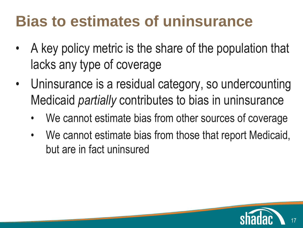## **Bias to estimates of uninsurance**

- A key policy metric is the share of the population that lacks any type of coverage
- Uninsurance is a residual category, so undercounting pid nort puissa Medicaid *partially* contributes to bias in uninsurance
	- We cannot estimate bias from other sources of coverage
	- We cannot estimate bias from those that report Medicaid, but are in fact uninsured

17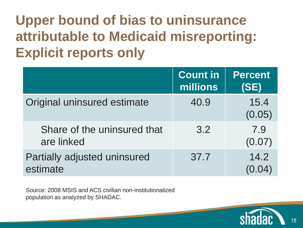Upper bound of bias to uninsurance **Explicit reports only attributable to Medicaid misreporting: Explicit reports only**

|                                           | <b>Count in</b><br>millions | <b>Percent</b><br>(SE) |
|-------------------------------------------|-----------------------------|------------------------|
| Original uninsured estimate               | 40.9                        | 15.4<br>(0.05)         |
| Share of the uninsured that<br>are linked | 3.2                         | 7.9<br>(0.07)          |
| Partially adjusted uninsured<br>estimate  | 37.7                        | 14.2                   |

Source: 2008 MSIS and ACS civilian non-institutionalized population as analyzed by SHADAC.



18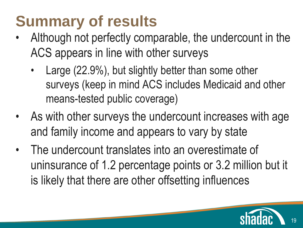# **Summary of results**

- ACS annears in line with other Although not perfectly comparable, the undercount in the ACS appears in line with other surveys
	- $\cdot$  large (22) surveys (keep in mind ACS includes Medicaid and other  $\overline{\phantom{a}}$ ne\_toetc • Large (22.9%), but slightly better than some other means-tested public coverage)
- As with other surveys the undercount increases with age and family income and appears to vary by state
- The undercount translates into an overestimate of uninsurance of 1.2 percentage points or 3.2 million but it is likely that there are other offsetting influences